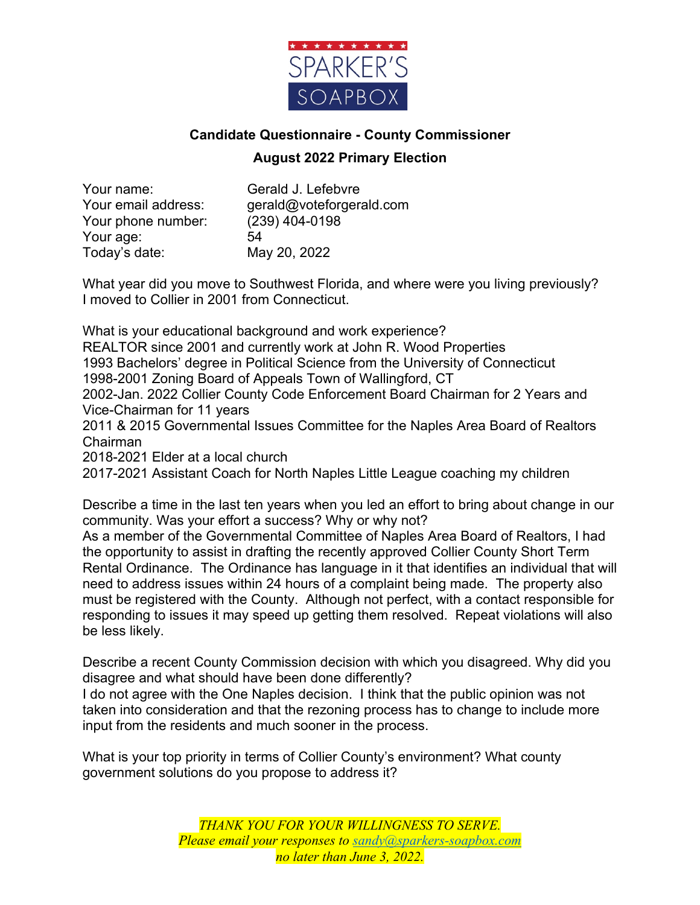

## **Candidate Questionnaire - County Commissioner August 2022 Primary Election**

Your name: Gerald J. Lefebvre Your phone number: (239) 404-0198 Your age: 54 Today's date: May 20, 2022

Your email address: gerald@voteforgerald.com

What year did you move to Southwest Florida, and where were you living previously? I moved to Collier in 2001 from Connecticut.

What is your educational background and work experience?

REALTOR since 2001 and currently work at John R. Wood Properties 1993 Bachelors' degree in Political Science from the University of Connecticut 1998-2001 Zoning Board of Appeals Town of Wallingford, CT

2002-Jan. 2022 Collier County Code Enforcement Board Chairman for 2 Years and Vice-Chairman for 11 years

2011 & 2015 Governmental Issues Committee for the Naples Area Board of Realtors Chairman

2018-2021 Elder at a local church

2017-2021 Assistant Coach for North Naples Little League coaching my children

Describe a time in the last ten years when you led an effort to bring about change in our community. Was your effort a success? Why or why not?

As a member of the Governmental Committee of Naples Area Board of Realtors, I had the opportunity to assist in drafting the recently approved Collier County Short Term Rental Ordinance. The Ordinance has language in it that identifies an individual that will need to address issues within 24 hours of a complaint being made. The property also must be registered with the County. Although not perfect, with a contact responsible for responding to issues it may speed up getting them resolved. Repeat violations will also be less likely.

Describe a recent County Commission decision with which you disagreed. Why did you disagree and what should have been done differently?

I do not agree with the One Naples decision. I think that the public opinion was not taken into consideration and that the rezoning process has to change to include more input from the residents and much sooner in the process.

What is your top priority in terms of Collier County's environment? What county government solutions do you propose to address it?